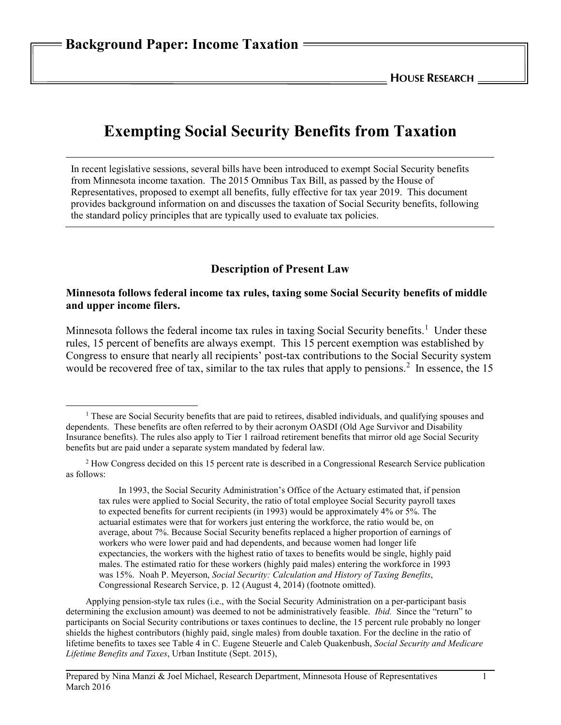# **Exempting Social Security Benefits from Taxation**

In recent legislative sessions, several bills have been introduced to exempt Social Security benefits from Minnesota income taxation. The 2015 Omnibus Tax Bill, as passed by the House of Representatives, proposed to exempt all benefits, fully effective for tax year 2019. This document provides background information on and discusses the taxation of Social Security benefits, following the standard policy principles that are typically used to evaluate tax policies.

### <span id="page-0-2"></span>**Description of Present Law**

#### **Minnesota follows federal income tax rules, taxing some Social Security benefits of middle and upper income filers.**

Minnesota follows the federal income tax rules in taxing Social Security benefits.<sup>[1](#page-0-0)</sup> Under these rules, 15 percent of benefits are always exempt. This 15 percent exemption was established by Congress to ensure that nearly all recipients' post-tax contributions to the Social Security system would be recovered free of tax, similar to the tax rules that apply to pensions.<sup>[2](#page-0-1)</sup> In essence, the 15

<span id="page-0-0"></span><sup>&</sup>lt;sup>1</sup> These are Social Security benefits that are paid to retirees, disabled individuals, and qualifying spouses and dependents. These benefits are often referred to by their acronym OASDI (Old Age Survivor and Disability Insurance benefits). The rules also apply to Tier 1 railroad retirement benefits that mirror old age Social Security benefits but are paid under a separate system mandated by federal law.

<span id="page-0-1"></span><sup>2</sup> How Congress decided on this 15 percent rate is described in a Congressional Research Service publication as follows:

In 1993, the Social Security Administration's Office of the Actuary estimated that, if pension tax rules were applied to Social Security, the ratio of total employee Social Security payroll taxes to expected benefits for current recipients (in 1993) would be approximately 4% or 5%. The actuarial estimates were that for workers just entering the workforce, the ratio would be, on average, about 7%. Because Social Security benefits replaced a higher proportion of earnings of workers who were lower paid and had dependents, and because women had longer life expectancies, the workers with the highest ratio of taxes to benefits would be single, highly paid males. The estimated ratio for these workers (highly paid males) entering the workforce in 1993 was 15%. Noah P. Meyerson, *Social Security: Calculation and History of Taxing Benefits*, Congressional Research Service, p. 12 (August 4, 2014) (footnote omitted).

Applying pension-style tax rules (i.e., with the Social Security Administration on a per-participant basis determining the exclusion amount) was deemed to not be administratively feasible. *Ibid.* Since the "return" to participants on Social Security contributions or taxes continues to decline, the 15 percent rule probably no longer shields the highest contributors (highly paid, single males) from double taxation. For the decline in the ratio of lifetime benefits to taxes see Table 4 in C. Eugene Steuerle and Caleb Quakenbush, *Social Security and Medicare Lifetime Benefits and Taxes*, Urban Institute (Sept. 2015),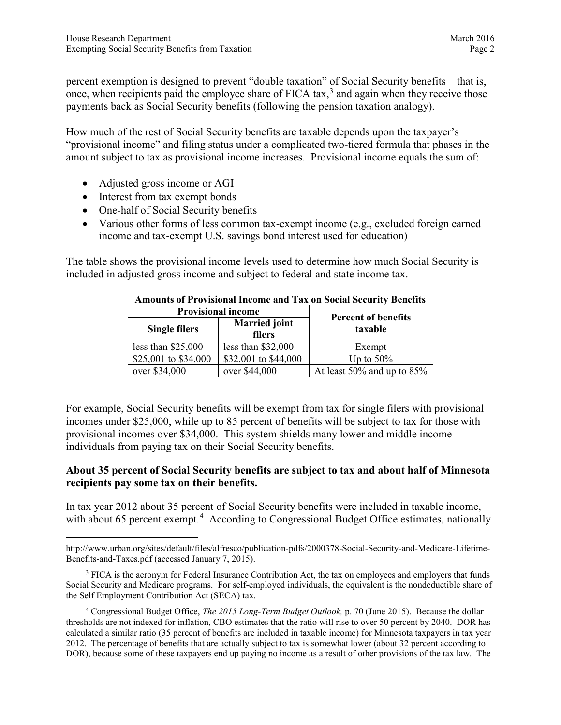percent exemption is designed to prevent "double taxation" of Social Security benefits—that is, once, when recipients paid the employee share of FICA tax,<sup>[3](#page-1-0)</sup> and again when they receive those payments back as Social Security benefits (following the pension taxation analogy).

How much of the rest of Social Security benefits are taxable depends upon the taxpayer's "provisional income" and filing status under a complicated two-tiered formula that phases in the amount subject to tax as provisional income increases. Provisional income equals the sum of:

- Adjusted gross income or AGI
- Interest from tax exempt bonds
- One-half of Social Security benefits
- Various other forms of less common tax-exempt income (e.g., excluded foreign earned income and tax-exempt U.S. savings bond interest used for education)

The table shows the provisional income levels used to determine how much Social Security is included in adjusted gross income and subject to federal and state income tax.

| <b>Provisional income</b> |                                | <b>Percent of benefits</b> |  |
|---------------------------|--------------------------------|----------------------------|--|
| <b>Single filers</b>      | <b>Married</b> joint<br>filers | taxable                    |  |
| less than $$25,000$       | less than $$32,000$            | Exempt                     |  |
| \$25,001 to \$34,000      | \$32,001 to \$44,000           | Up to $50\%$               |  |
| over \$34,000             | over \$44,000                  | At least 50% and up to 85% |  |

#### **Amounts of Provisional Income and Tax on Social Security Benefits**

For example, Social Security benefits will be exempt from tax for single filers with provisional incomes under \$25,000, while up to 85 percent of benefits will be subject to tax for those with provisional incomes over \$34,000. This system shields many lower and middle income individuals from paying tax on their Social Security benefits.

#### **About 35 percent of Social Security benefits are subject to tax and about half of Minnesota recipients pay some tax on their benefits.**

In tax year 2012 about 35 percent of Social Security benefits were included in taxable income, with about 65 percent exempt.<sup>[4](#page-1-1)</sup> According to Congressional Budget Office estimates, nationally

 $\overline{a}$ http://www.urban.org/sites/default/files/alfresco/publication-pdfs/2000378-Social-Security-and-Medicare-Lifetime-Benefits-and-Taxes.pdf (accessed January 7, 2015).

<span id="page-1-0"></span><sup>&</sup>lt;sup>3</sup> FICA is the acronym for Federal Insurance Contribution Act, the tax on employees and employers that funds Social Security and Medicare programs. For self-employed individuals, the equivalent is the nondeductible share of the Self Employment Contribution Act (SECA) tax.

<span id="page-1-1"></span><sup>4</sup> Congressional Budget Office, *The 2015 Long-Term Budget Outlook,* p. 70 (June 2015). Because the dollar thresholds are not indexed for inflation, CBO estimates that the ratio will rise to over 50 percent by 2040. DOR has calculated a similar ratio (35 percent of benefits are included in taxable income) for Minnesota taxpayers in tax year 2012. The percentage of benefits that are actually subject to tax is somewhat lower (about 32 percent according to DOR), because some of these taxpayers end up paying no income as a result of other provisions of the tax law. The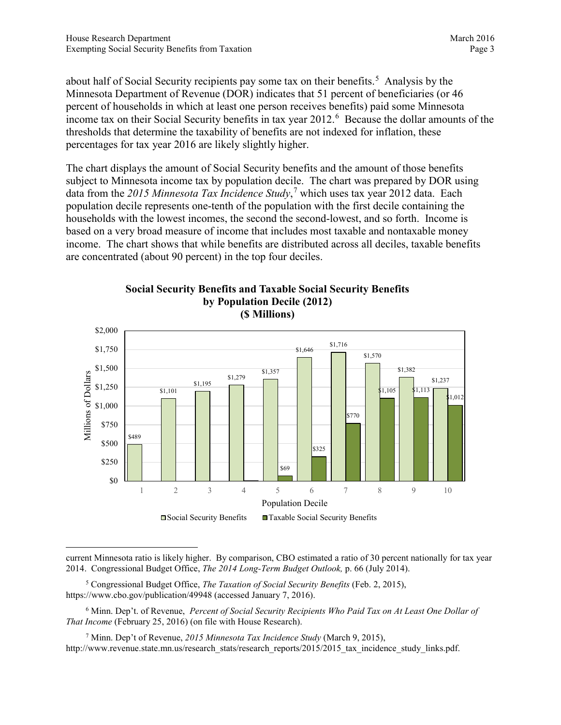about half of Social Security recipients pay some tax on their benefits.<sup>[5](#page-2-0)</sup> Analysis by the Minnesota Department of Revenue (DOR) indicates that 51 percent of beneficiaries (or 46 percent of households in which at least one person receives benefits) paid some Minnesota income tax on their Social Security benefits in tax year 2012.<sup>[6](#page-2-1)</sup> Because the dollar amounts of the thresholds that determine the taxability of benefits are not indexed for inflation, these percentages for tax year 2016 are likely slightly higher.

The chart displays the amount of Social Security benefits and the amount of those benefits subject to Minnesota income tax by population decile. The chart was prepared by DOR using data from the *2015 Minnesota Tax Incidence Study*, [7](#page-2-2) which uses tax year 2012 data. Each population decile represents one-tenth of the population with the first decile containing the households with the lowest incomes, the second the second-lowest, and so forth. Income is based on a very broad measure of income that includes most taxable and nontaxable money income. The chart shows that while benefits are distributed across all deciles, taxable benefits are concentrated (about 90 percent) in the top four deciles.



# **Social Security Benefits and Taxable Social Security Benefits by Population Decile (2012)**

 $\overline{a}$ current Minnesota ratio is likely higher. By comparison, CBO estimated a ratio of 30 percent nationally for tax year 2014. Congressional Budget Office, *The 2014 Long-Term Budget Outlook,* p. 66 (July 2014).

<span id="page-2-0"></span><sup>5</sup> Congressional Budget Office, *The Taxation of Social Security Benefits* (Feb. 2, 2015), https://www.cbo.gov/publication/49948 (accessed January 7, 2016).

<span id="page-2-1"></span><sup>6</sup> Minn. Dep't. of Revenue, *Percent of Social Security Recipients Who Paid Tax on At Least One Dollar of That Income* (February 25, 2016) (on file with House Research).

<span id="page-2-2"></span><sup>7</sup> Minn. Dep't of Revenue, *2015 Minnesota Tax Incidence Study* (March 9, 2015), http://www.revenue.state.mn.us/research\_stats/research\_reports/2015/2015\_tax\_incidence\_study\_links.pdf.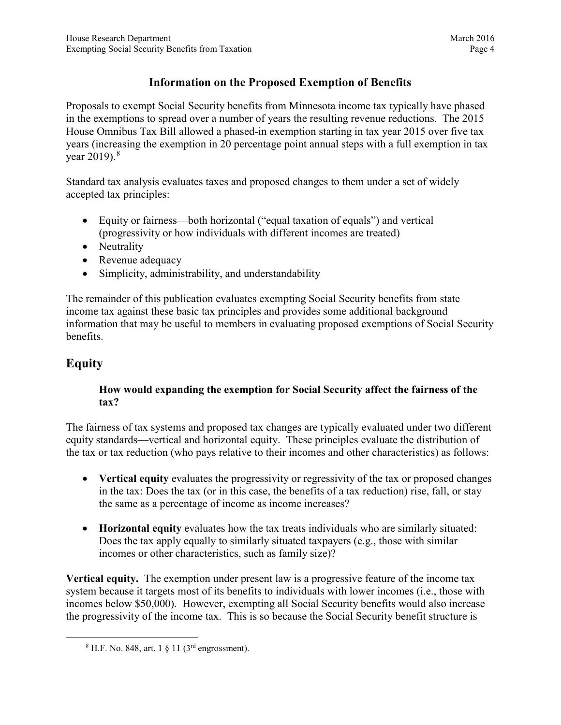## **Information on the Proposed Exemption of Benefits**

Proposals to exempt Social Security benefits from Minnesota income tax typically have phased in the exemptions to spread over a number of years the resulting revenue reductions. The 2015 House Omnibus Tax Bill allowed a phased-in exemption starting in tax year 2015 over five tax years (increasing the exemption in 20 percentage point annual steps with a full exemption in tax vear  $2019$ ).<sup>[8](#page-3-0)</sup>

Standard tax analysis evaluates taxes and proposed changes to them under a set of widely accepted tax principles:

- Equity or fairness—both horizontal ("equal taxation of equals") and vertical (progressivity or how individuals with different incomes are treated)
- Neutrality
- Revenue adequacy
- Simplicity, administrability, and understandability

The remainder of this publication evaluates exempting Social Security benefits from state income tax against these basic tax principles and provides some additional background information that may be useful to members in evaluating proposed exemptions of Social Security benefits.

## **Equity**

#### **How would expanding the exemption for Social Security affect the fairness of the tax?**

The fairness of tax systems and proposed tax changes are typically evaluated under two different equity standards—vertical and horizontal equity. These principles evaluate the distribution of the tax or tax reduction (who pays relative to their incomes and other characteristics) as follows:

- **Vertical equity** evaluates the progressivity or regressivity of the tax or proposed changes in the tax: Does the tax (or in this case, the benefits of a tax reduction) rise, fall, or stay the same as a percentage of income as income increases?
- **Horizontal equity** evaluates how the tax treats individuals who are similarly situated: Does the tax apply equally to similarly situated taxpayers (e.g., those with similar incomes or other characteristics, such as family size)?

**Vertical equity.** The exemption under present law is a progressive feature of the income tax system because it targets most of its benefits to individuals with lower incomes (i.e., those with incomes below \$50,000). However, exempting all Social Security benefits would also increase the progressivity of the income tax. This is so because the Social Security benefit structure is

<span id="page-3-0"></span> $8$  H.F. No. 848, art. 1  $\S$  11 (3<sup>rd</sup> engrossment).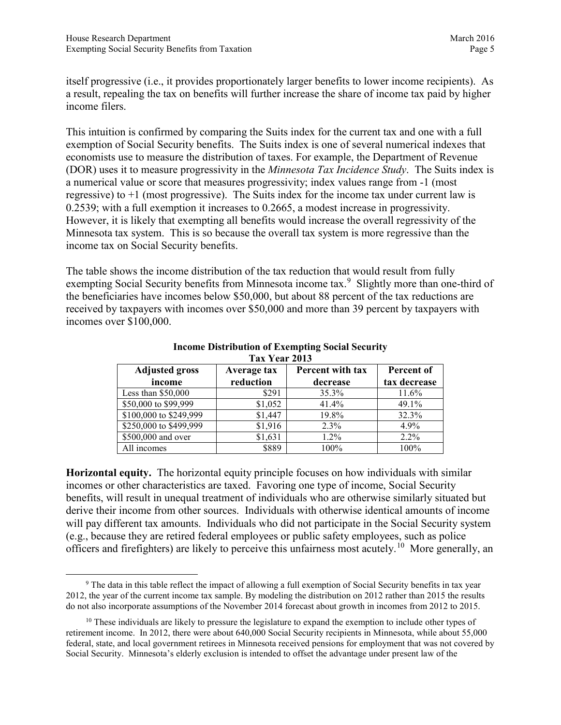itself progressive (i.e., it provides proportionately larger benefits to lower income recipients). As a result, repealing the tax on benefits will further increase the share of income tax paid by higher income filers.

This intuition is confirmed by comparing the Suits index for the current tax and one with a full exemption of Social Security benefits. The Suits index is one of several numerical indexes that economists use to measure the distribution of taxes. For example, the Department of Revenue (DOR) uses it to measure progressivity in the *Minnesota Tax Incidence Study*. The Suits index is a numerical value or score that measures progressivity; index values range from -1 (most regressive) to +1 (most progressive). The Suits index for the income tax under current law is 0.2539; with a full exemption it increases to 0.2665, a modest increase in progressivity. However, it is likely that exempting all benefits would increase the overall regressivity of the Minnesota tax system. This is so because the overall tax system is more regressive than the income tax on Social Security benefits.

The table shows the income distribution of the tax reduction that would result from fully exempting Social Security benefits from Minnesota income tax.<sup>[9](#page-4-0)</sup> Slightly more than one-third of the beneficiaries have incomes below \$50,000, but about 88 percent of the tax reductions are received by taxpayers with incomes over \$50,000 and more than 39 percent by taxpayers with incomes over \$100,000.

| <b>Adjusted gross</b>  | Average tax | Percent with tax | Percent of   |  |  |  |
|------------------------|-------------|------------------|--------------|--|--|--|
| income                 | reduction   | decrease         | tax decrease |  |  |  |
| Less than $$50,000$    | \$291       | 35.3%            | 11.6%        |  |  |  |
| \$50,000 to \$99,999   | \$1,052     | 41.4%            | 49.1%        |  |  |  |
| \$100,000 to \$249,999 | \$1,447     | 19.8%            | 32.3%        |  |  |  |
| \$250,000 to \$499,999 | \$1,916     | 2.3%             | 4.9%         |  |  |  |
| \$500,000 and over     | \$1,631     | 1.2%             | 2.2%         |  |  |  |
| All incomes            | \$889       | 100%             | 100%         |  |  |  |

#### **Income Distribution of Exempting Social Security Tax Year 2013**

**Horizontal equity.** The horizontal equity principle focuses on how individuals with similar incomes or other characteristics are taxed. Favoring one type of income, Social Security benefits, will result in unequal treatment of individuals who are otherwise similarly situated but derive their income from other sources. Individuals with otherwise identical amounts of income will pay different tax amounts. Individuals who did not participate in the Social Security system (e.g., because they are retired federal employees or public safety employees, such as police officers and firefighters) are likely to perceive this unfairness most acutely.[10](#page-4-1) More generally, an

<span id="page-4-0"></span> <sup>9</sup> The data in this table reflect the impact of allowing a full exemption of Social Security benefits in tax year 2012, the year of the current income tax sample. By modeling the distribution on 2012 rather than 2015 the results do not also incorporate assumptions of the November 2014 forecast about growth in incomes from 2012 to 2015.

<span id="page-4-1"></span><sup>&</sup>lt;sup>10</sup> These individuals are likely to pressure the legislature to expand the exemption to include other types of retirement income. In 2012, there were about 640,000 Social Security recipients in Minnesota, while about 55,000 federal, state, and local government retirees in Minnesota received pensions for employment that was not covered by Social Security. Minnesota's elderly exclusion is intended to offset the advantage under present law of the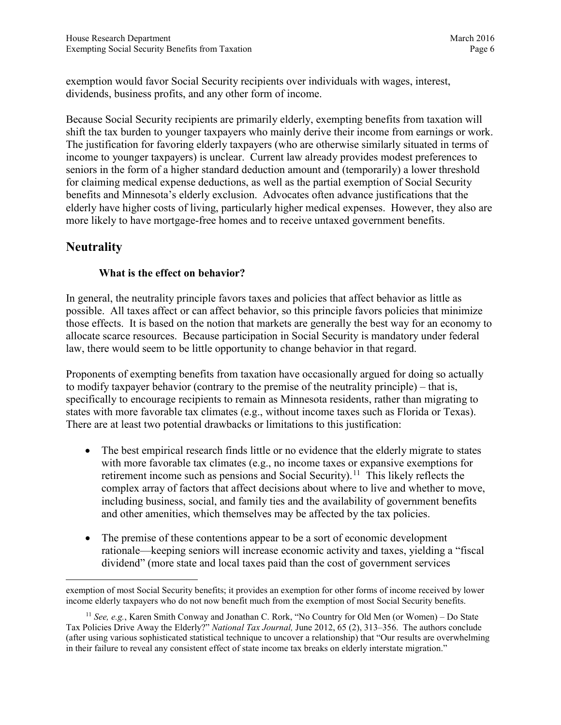exemption would favor Social Security recipients over individuals with wages, interest, dividends, business profits, and any other form of income.

Because Social Security recipients are primarily elderly, exempting benefits from taxation will shift the tax burden to younger taxpayers who mainly derive their income from earnings or work. The justification for favoring elderly taxpayers (who are otherwise similarly situated in terms of income to younger taxpayers) is unclear. Current law already provides modest preferences to seniors in the form of a higher standard deduction amount and (temporarily) a lower threshold for claiming medical expense deductions, as well as the partial exemption of Social Security benefits and Minnesota's elderly exclusion. Advocates often advance justifications that the elderly have higher costs of living, particularly higher medical expenses. However, they also are more likely to have mortgage-free homes and to receive untaxed government benefits.

## **Neutrality**

#### **What is the effect on behavior?**

In general, the neutrality principle favors taxes and policies that affect behavior as little as possible. All taxes affect or can affect behavior, so this principle favors policies that minimize those effects. It is based on the notion that markets are generally the best way for an economy to allocate scarce resources. Because participation in Social Security is mandatory under federal law, there would seem to be little opportunity to change behavior in that regard.

Proponents of exempting benefits from taxation have occasionally argued for doing so actually to modify taxpayer behavior (contrary to the premise of the neutrality principle) – that is, specifically to encourage recipients to remain as Minnesota residents, rather than migrating to states with more favorable tax climates (e.g., without income taxes such as Florida or Texas). There are at least two potential drawbacks or limitations to this justification:

- The best empirical research finds little or no evidence that the elderly migrate to states with more favorable tax climates (e.g., no income taxes or expansive exemptions for retirement income such as pensions and Social Security).<sup>[11](#page-5-0)</sup> This likely reflects the complex array of factors that affect decisions about where to live and whether to move, including business, social, and family ties and the availability of government benefits and other amenities, which themselves may be affected by the tax policies.
- The premise of these contentions appear to be a sort of economic development rationale—keeping seniors will increase economic activity and taxes, yielding a "fiscal dividend" (more state and local taxes paid than the cost of government services

 $\overline{a}$ exemption of most Social Security benefits; it provides an exemption for other forms of income received by lower income elderly taxpayers who do not now benefit much from the exemption of most Social Security benefits.

<span id="page-5-0"></span><sup>11</sup> *See, e.g.*, Karen Smith Conway and Jonathan C. Rork, "No Country for Old Men (or Women) – Do State Tax Policies Drive Away the Elderly?" *National Tax Journal,* June 2012, 65 (2), 313–356. The authors conclude (after using various sophisticated statistical technique to uncover a relationship) that "Our results are overwhelming in their failure to reveal any consistent effect of state income tax breaks on elderly interstate migration."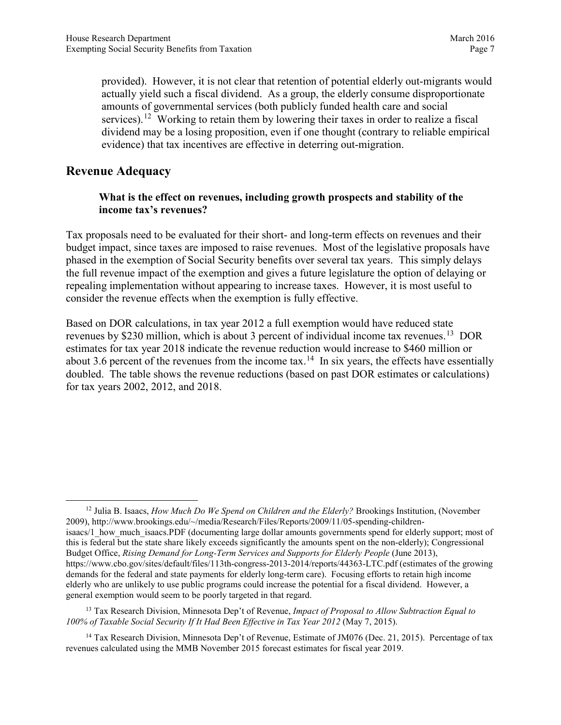provided). However, it is not clear that retention of potential elderly out-migrants would actually yield such a fiscal dividend. As a group, the elderly consume disproportionate amounts of governmental services (both publicly funded health care and social services).<sup>[12](#page-6-0)</sup> Working to retain them by lowering their taxes in order to realize a fiscal dividend may be a losing proposition, even if one thought (contrary to reliable empirical evidence) that tax incentives are effective in deterring out-migration.

### **Revenue Adequacy**

#### **What is the effect on revenues, including growth prospects and stability of the income tax's revenues?**

Tax proposals need to be evaluated for their short- and long-term effects on revenues and their budget impact, since taxes are imposed to raise revenues. Most of the legislative proposals have phased in the exemption of Social Security benefits over several tax years. This simply delays the full revenue impact of the exemption and gives a future legislature the option of delaying or repealing implementation without appearing to increase taxes. However, it is most useful to consider the revenue effects when the exemption is fully effective.

Based on DOR calculations, in tax year 2012 a full exemption would have reduced state revenues by \$230 million, which is about 3 percent of individual income tax revenues.<sup>13</sup> DOR estimates for tax year 2018 indicate the revenue reduction would increase to \$460 million or about 3.6 percent of the revenues from the income tax.<sup>14</sup> In six years, the effects have essentially doubled. The table shows the revenue reductions (based on past DOR estimates or calculations) for tax years 2002, 2012, and 2018.

<span id="page-6-1"></span><sup>13</sup> Tax Research Division, Minnesota Dep't of Revenue, *Impact of Proposal to Allow Subtraction Equal to 100% of Taxable Social Security If It Had Been Effective in Tax Year 2012* (May 7, 2015).

<span id="page-6-2"></span><sup>14</sup> Tax Research Division, Minnesota Dep't of Revenue, Estimate of JM076 (Dec. 21, 2015). Percentage of tax revenues calculated using the MMB November 2015 forecast estimates for fiscal year 2019.

<span id="page-6-0"></span> <sup>12</sup> Julia B. Isaacs, *How Much Do We Spend on Children and the Elderly?* Brookings Institution, (November 2009), http://www.brookings.edu/~/media/Research/Files/Reports/2009/11/05-spending-childrenisaacs/1\_how\_much\_isaacs.PDF (documenting large dollar amounts governments spend for elderly support; most of this is federal but the state share likely exceeds significantly the amounts spent on the non-elderly); Congressional Budget Office, *Rising Demand for Long-Term Services and Supports for Elderly People* (June 2013), https://www.cbo.gov/sites/default/files/113th-congress-2013-2014/reports/44363-LTC.pdf (estimates of the growing demands for the federal and state payments for elderly long-term care). Focusing efforts to retain high income elderly who are unlikely to use public programs could increase the potential for a fiscal dividend. However, a general exemption would seem to be poorly targeted in that regard.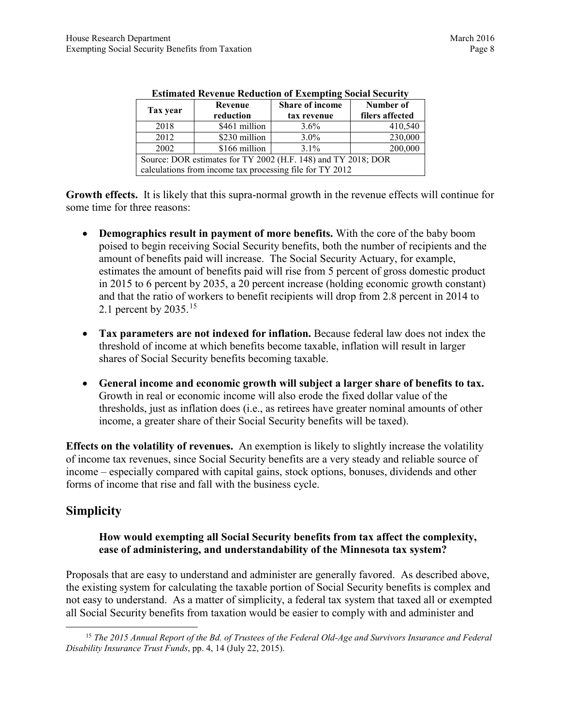|                                                               | Revenue       | Share of income | Number of       |  |
|---------------------------------------------------------------|---------------|-----------------|-----------------|--|
| Tax year                                                      | reduction     | tax revenue     | filers affected |  |
| 2018                                                          | \$461 million | $3.6\%$         | 410,540         |  |
| 2012                                                          | \$230 million | $3.0\%$         | 230,000         |  |
| 2002                                                          | \$166 million | $3.1\%$         | 200,000         |  |
| Source: DOR estimates for TY 2002 (H.F. 148) and TY 2018; DOR |               |                 |                 |  |
| calculations from income tax processing file for TY 2012      |               |                 |                 |  |

| <b>Estimated Revenue Reduction of Exempting Social Security</b> |  |  |  |
|-----------------------------------------------------------------|--|--|--|
|                                                                 |  |  |  |

**Growth effects.** It is likely that this supra-normal growth in the revenue effects will continue for some time for three reasons:

- **Demographics result in payment of more benefits.** With the core of the baby boom poised to begin receiving Social Security benefits, both the number of recipients and the amount of benefits paid will increase. The Social Security Actuary, for example, estimates the amount of benefits paid will rise from 5 percent of gross domestic product in 2015 to 6 percent by 2035, a 20 percent increase (holding economic growth constant) and that the ratio of workers to benefit recipients will drop from 2.8 percent in 2014 to 2.1 percent by 2035.[15](#page-7-0)
- **Tax parameters are not indexed for inflation.** Because federal law does not index the threshold of income at which benefits become taxable, inflation will result in larger shares of Social Security benefits becoming taxable.
- **General income and economic growth will subject a larger share of benefits to tax.** Growth in real or economic income will also erode the fixed dollar value of the thresholds, just as inflation does (i.e., as retirees have greater nominal amounts of other income, a greater share of their Social Security benefits will be taxed).

**Effects on the volatility of revenues.** An exemption is likely to slightly increase the volatility of income tax revenues, since Social Security benefits are a very steady and reliable source of income – especially compared with capital gains, stock options, bonuses, dividends and other forms of income that rise and fall with the business cycle.

## **Simplicity**

#### **How would exempting all Social Security benefits from tax affect the complexity, ease of administering, and understandability of the Minnesota tax system?**

Proposals that are easy to understand and administer are generally favored. As described above, the existing system for calculating the taxable portion of Social Security benefits is complex and not easy to understand. As a matter of simplicity, a federal tax system that taxed all or exempted all Social Security benefits from taxation would be easier to comply with and administer and

<span id="page-7-0"></span> <sup>15</sup> *The 2015 Annual Report of the Bd. of Trustees of the Federal Old-Age and Survivors Insurance and Federal Disability Insurance Trust Funds*, pp. 4, 14 (July 22, 2015).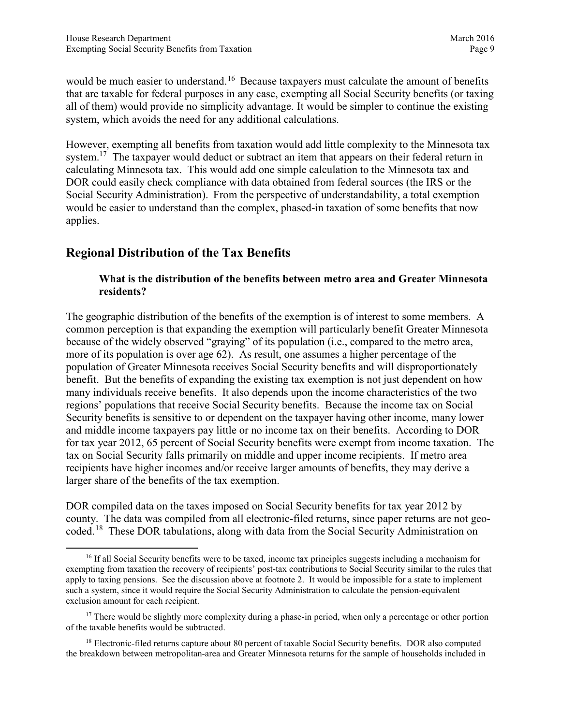would be much easier to understand.<sup>[16](#page-8-0)</sup> Because taxpayers must calculate the amount of benefits that are taxable for federal purposes in any case, exempting all Social Security benefits (or taxing all of them) would provide no simplicity advantage. It would be simpler to continue the existing system, which avoids the need for any additional calculations.

Howev[er,](#page-8-1) exempting all benefits from taxation would add little complexity to the Minnesota tax system.<sup>17</sup> The taxpayer would deduct or subtract an item that appears on their federal return in calculating Minnesota tax. This would add one simple calculation to the Minnesota tax and DOR could easily check compliance with data obtained from federal sources (the IRS or the Social Security Administration). From the perspective of understandability, a total exemption would be easier to understand than the complex, phased-in taxation of some benefits that now applies.

## **Regional Distribution of the Tax Benefits**

#### **What is the distribution of the benefits between metro area and Greater Minnesota residents?**

The geographic distribution of the benefits of the exemption is of interest to some members. A common perception is that expanding the exemption will particularly benefit Greater Minnesota because of the widely observed "graying" of its population (i.e., compared to the metro area, more of its population is over age 62). As result, one assumes a higher percentage of the population of Greater Minnesota receives Social Security benefits and will disproportionately benefit. But the benefits of expanding the existing tax exemption is not just dependent on how many individuals receive benefits. It also depends upon the income characteristics of the two regions' populations that receive Social Security benefits. Because the income tax on Social Security benefits is sensitive to or dependent on the taxpayer having other income, many lower and middle income taxpayers pay little or no income tax on their benefits. According to DOR for tax year 2012, 65 percent of Social Security benefits were exempt from income taxation. The tax on Social Security falls primarily on middle and upper income recipients. If metro area recipients have higher incomes and/or receive larger amounts of benefits, they may derive a larger share of the benefits of the tax exemption.

DOR [com](#page-8-2)piled data on the taxes imposed on Social Security benefits for tax year 2012 by county. The data was compiled from all electronic-filed returns, since paper returns are not geocoded.18 These DOR tabulations, along with data from the Social Security Administration on

<span id="page-8-0"></span><sup>&</sup>lt;sup>16</sup> If all Social Security benefits were to be taxed, income tax principles suggests including a mechanism for exempting from taxation the recovery of recipients' post-tax contributions to Social Security similar to the rules that apply to taxing pensions. See the discussion above at footnot[e 2.](#page-0-2) It would be impossible for a state to implement such a system, since it would require the Social Security Administration to calculate the pension-equivalent exclusion amount for each recipient.

<span id="page-8-1"></span><sup>&</sup>lt;sup>17</sup> There would be slightly more complexity during a phase-in period, when only a percentage or other portion of the taxable benefits would be subtracted.

<span id="page-8-2"></span><sup>&</sup>lt;sup>18</sup> Electronic-filed returns capture about 80 percent of taxable Social Security benefits. DOR also computed the breakdown between metropolitan-area and Greater Minnesota returns for the sample of households included in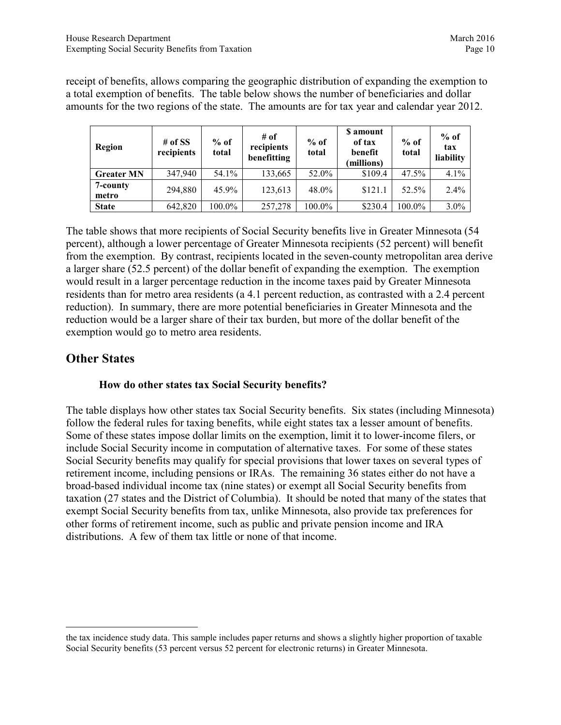receipt of benefits, allows comparing the geographic distribution of expanding the exemption to a total exemption of benefits. The table below shows the number of beneficiaries and dollar amounts for the two regions of the state. The amounts are for tax year and calendar year 2012.

| Region            | # of $SS$<br>recipients | $%$ of<br>total | # of<br>recipients<br>benefitting | $%$ of<br>total | \$ amount<br>of tax<br>benefit<br>(millions) | $%$ of<br>total | $%$ of<br>tax<br>liability |
|-------------------|-------------------------|-----------------|-----------------------------------|-----------------|----------------------------------------------|-----------------|----------------------------|
| <b>Greater MN</b> | 347,940                 | 54.1%           | 133,665                           | 52.0%           | \$109.4                                      | 47.5%           | 4.1%                       |
| 7-county<br>metro | 294,880                 | 45.9%           | 123,613                           | 48.0%           | \$121.1                                      | 52.5%           | $2.4\%$                    |
| <b>State</b>      | 642,820                 | 100.0%          | 257,278                           | 100.0%          | \$230.4                                      | 100.0%          | 3.0%                       |

The table shows that more recipients of Social Security benefits live in Greater Minnesota (54 percent), although a lower percentage of Greater Minnesota recipients (52 percent) will benefit from the exemption. By contrast, recipients located in the seven-county metropolitan area derive a larger share (52.5 percent) of the dollar benefit of expanding the exemption. The exemption would result in a larger percentage reduction in the income taxes paid by Greater Minnesota residents than for metro area residents (a 4.1 percent reduction, as contrasted with a 2.4 percent reduction). In summary, there are more potential beneficiaries in Greater Minnesota and the reduction would be a larger share of their tax burden, but more of the dollar benefit of the exemption would go to metro area residents.

## **Other States**

 $\overline{a}$ 

#### **How do other states tax Social Security benefits?**

The table displays how other states tax Social Security benefits. Six states (including Minnesota) follow the federal rules for taxing benefits, while eight states tax a lesser amount of benefits. Some of these states impose dollar limits on the exemption, limit it to lower-income filers, or include Social Security income in computation of alternative taxes. For some of these states Social Security benefits may qualify for special provisions that lower taxes on several types of retirement income, including pensions or IRAs. The remaining 36 states either do not have a broad-based individual income tax (nine states) or exempt all Social Security benefits from taxation (27 states and the District of Columbia). It should be noted that many of the states that exempt Social Security benefits from tax, unlike Minnesota, also provide tax preferences for other forms of retirement income, such as public and private pension income and IRA distributions. A few of them tax little or none of that income.

the tax incidence study data. This sample includes paper returns and shows a slightly higher proportion of taxable Social Security benefits (53 percent versus 52 percent for electronic returns) in Greater Minnesota.